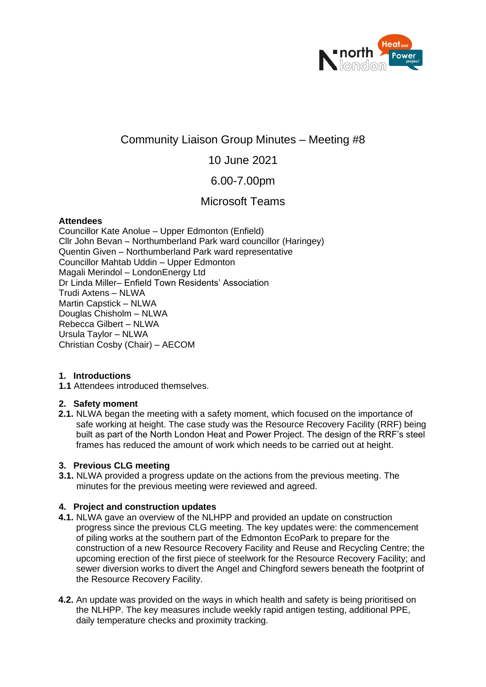

# Community Liaison Group Minutes – Meeting #8

## 10 June 2021

## 6.00-7.00pm

## Microsoft Teams

#### **Attendees**

Councillor Kate Anolue – Upper Edmonton (Enfield) Cllr John Bevan – Northumberland Park ward councillor (Haringey) Quentin Given – Northumberland Park ward representative Councillor Mahtab Uddin – Upper Edmonton Magali Merindol – LondonEnergy Ltd Dr Linda Miller– Enfield Town Residents' Association Trudi Axtens – NLWA Martin Capstick – NLWA Douglas Chisholm – NLWA Rebecca Gilbert – NLWA Ursula Taylor – NLWA Christian Cosby (Chair) – AECOM

### **1. Introductions**

**1.1** Attendees introduced themselves.

### **2. Safety moment**

**2.1.** NLWA began the meeting with a safety moment, which focused on the importance of safe working at height. The case study was the Resource Recovery Facility (RRF) being built as part of the North London Heat and Power Project. The design of the RRF's steel frames has reduced the amount of work which needs to be carried out at height.

### **3. Previous CLG meeting**

**3.1.** NLWA provided a progress update on the actions from the previous meeting. The minutes for the previous meeting were reviewed and agreed.

### **4. Project and construction updates**

- **4.1.** NLWA gave an overview of the NLHPP and provided an update on construction progress since the previous CLG meeting. The key updates were: the commencement of piling works at the southern part of the Edmonton EcoPark to prepare for the construction of a new Resource Recovery Facility and Reuse and Recycling Centre; the upcoming erection of the first piece of steelwork for the Resource Recovery Facility; and sewer diversion works to divert the Angel and Chingford sewers beneath the footprint of the Resource Recovery Facility.
- **4.2.** An update was provided on the ways in which health and safety is being prioritised on the NLHPP. The key measures include weekly rapid antigen testing, additional PPE, daily temperature checks and proximity tracking.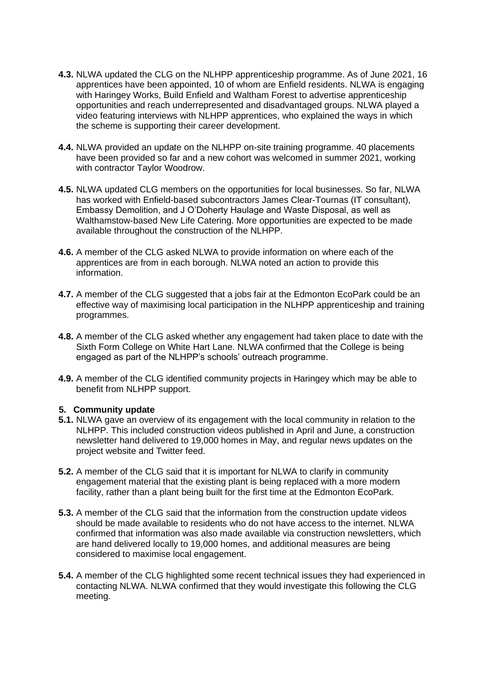- **4.3.** NLWA updated the CLG on the NLHPP apprenticeship programme. As of June 2021, 16 apprentices have been appointed, 10 of whom are Enfield residents. NLWA is engaging with Haringey Works, Build Enfield and Waltham Forest to advertise apprenticeship opportunities and reach underrepresented and disadvantaged groups. NLWA played a video featuring interviews with NLHPP apprentices, who explained the ways in which the scheme is supporting their career development.
- **4.4.** NLWA provided an update on the NLHPP on-site training programme. 40 placements have been provided so far and a new cohort was welcomed in summer 2021, working with contractor Taylor Woodrow.
- **4.5.** NLWA updated CLG members on the opportunities for local businesses. So far, NLWA has worked with Enfield-based subcontractors James Clear-Tournas (IT consultant), Embassy Demolition, and J O'Doherty Haulage and Waste Disposal, as well as Walthamstow-based New Life Catering. More opportunities are expected to be made available throughout the construction of the NLHPP.
- **4.6.** A member of the CLG asked NLWA to provide information on where each of the apprentices are from in each borough. NLWA noted an action to provide this information.
- **4.7.** A member of the CLG suggested that a jobs fair at the Edmonton EcoPark could be an effective way of maximising local participation in the NLHPP apprenticeship and training programmes.
- **4.8.** A member of the CLG asked whether any engagement had taken place to date with the Sixth Form College on White Hart Lane. NLWA confirmed that the College is being engaged as part of the NLHPP's schools' outreach programme.
- **4.9.** A member of the CLG identified community projects in Haringey which may be able to benefit from NLHPP support.

#### **5. Community update**

- **5.1.** NLWA gave an overview of its engagement with the local community in relation to the NLHPP. This included construction videos published in April and June, a construction newsletter hand delivered to 19,000 homes in May, and regular news updates on the project website and Twitter feed.
- **5.2.** A member of the CLG said that it is important for NLWA to clarify in community engagement material that the existing plant is being replaced with a more modern facility, rather than a plant being built for the first time at the Edmonton EcoPark.
- **5.3.** A member of the CLG said that the information from the construction update videos should be made available to residents who do not have access to the internet. NLWA confirmed that information was also made available via construction newsletters, which are hand delivered locally to 19,000 homes, and additional measures are being considered to maximise local engagement.
- **5.4.** A member of the CLG highlighted some recent technical issues they had experienced in contacting NLWA. NLWA confirmed that they would investigate this following the CLG meeting.